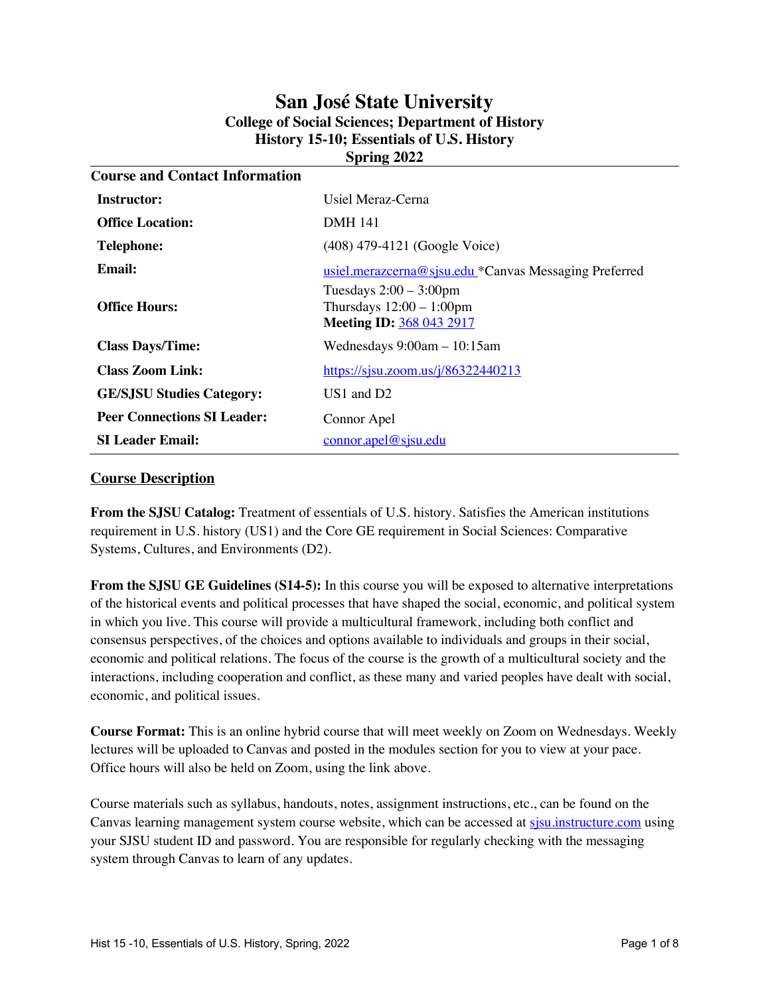# **San José State University College of Social Sciences; Department of History History 15-10; Essentials of U.S. History Spring 2022**

| <b>Course and Contact Information</b> |                                                                                             |  |  |  |
|---------------------------------------|---------------------------------------------------------------------------------------------|--|--|--|
| Instructor:                           | Usiel Meraz-Cerna                                                                           |  |  |  |
| <b>Office Location:</b>               | <b>DMH 141</b>                                                                              |  |  |  |
| <b>Telephone:</b>                     | (408) 479-4121 (Google Voice)                                                               |  |  |  |
| Email:                                | usiel.merazcerna@sjsu.edu *Canvas Messaging Preferred                                       |  |  |  |
| <b>Office Hours:</b>                  | Tuesdays $2:00 - 3:00$ pm<br>Thursdays $12:00 - 1:00$ pm<br><b>Meeting ID: 368 043 2917</b> |  |  |  |
| <b>Class Days/Time:</b>               | Wednesdays $9:00am - 10:15am$                                                               |  |  |  |
| <b>Class Zoom Link:</b>               | https://sjsu.zoom.us/j/86322440213                                                          |  |  |  |
| <b>GE/SJSU Studies Category:</b>      | $US1$ and $D2$                                                                              |  |  |  |
| <b>Peer Connections SI Leader:</b>    | Connor Apel                                                                                 |  |  |  |
| <b>SI Leader Email:</b>               | connor. a pel@sisu.edu                                                                      |  |  |  |

## **Course Description**

**From the SJSU Catalog:** Treatment of essentials of U.S. history. Satisfies the American institutions requirement in U.S. history (US1) and the Core GE requirement in Social Sciences: Comparative Systems, Cultures, and Environments (D2).

**From the SJSU GE Guidelines (S14-5):** In this course you will be exposed to alternative interpretations of the historical events and political processes that have shaped the social, economic, and political system in which you live. This course will provide a multicultural framework, including both conflict and consensus perspectives, of the choices and options available to individuals and groups in their social, economic and political relations. The focus of the course is the growth of a multicultural society and the interactions, including cooperation and conflict, as these many and varied peoples have dealt with social, economic, and political issues.

**Course Format:** This is an online hybrid course that will meet weekly on Zoom on Wednesdays. Weekly lectures will be uploaded to Canvas and posted in the modules section for you to view at your pace. Office hours will also be held on Zoom, using the link above.

Course materials such as syllabus, handouts, notes, assignment instructions, etc., can be found on the Canvas learning management system course website, which can be accessed at sisu.instructure.com using your SJSU student ID and password. You are responsible for regularly checking with the messaging system through Canvas to learn of any updates.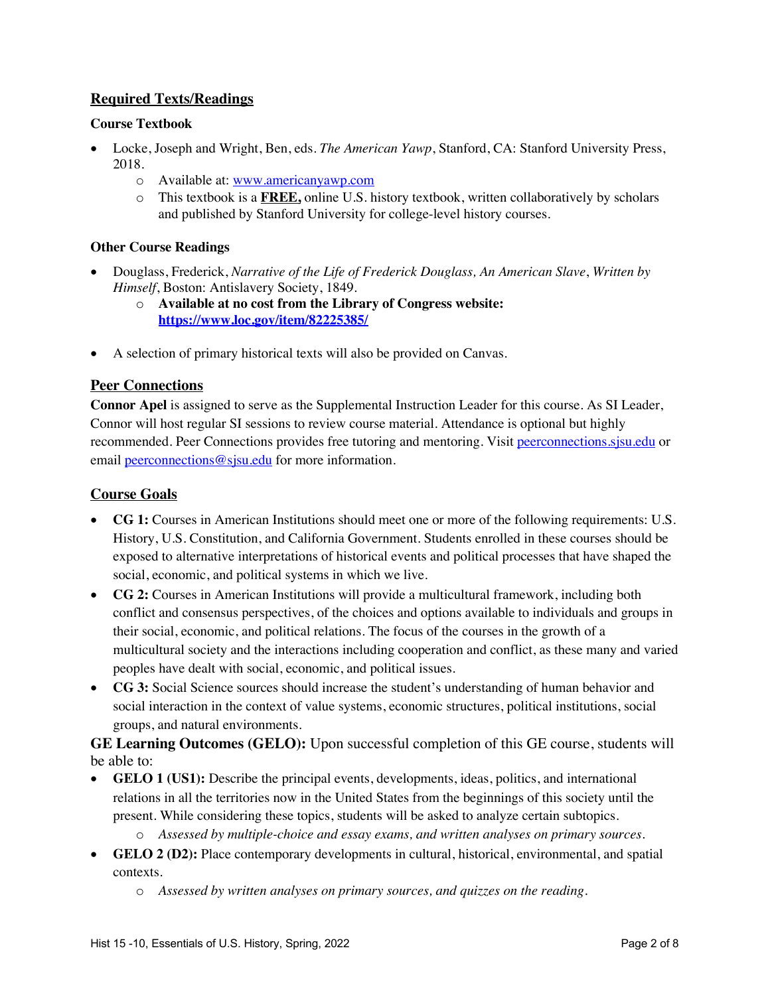# **Required Texts/Readings**

## **Course Textbook**

- Locke, Joseph and Wright, Ben, eds. *The American Yawp*, Stanford, CA: Stanford University Press, 2018.
	- o Available at: www.americanyawp.com
	- o This textbook is a **FREE,** online U.S. history textbook, written collaboratively by scholars and published by Stanford University for college-level history courses.

## **Other Course Readings**

- Douglass, Frederick, *Narrative of the Life of Frederick Douglass, An American Slave*, *Written by Himself*, Boston: Antislavery Society, 1849.
	- o **Available at no cost from the Library of Congress website: https://www.loc.gov/item/82225385/**
- A selection of primary historical texts will also be provided on Canvas.

## **Peer Connections**

**Connor Apel** is assigned to serve as the Supplemental Instruction Leader for this course. As SI Leader, Connor will host regular SI sessions to review course material. Attendance is optional but highly recommended. Peer Connections provides free tutoring and mentoring. Visit peerconnections.sjsu.edu or email peerconnections@sjsu.edu for more information.

## **Course Goals**

- **CG 1:** Courses in American Institutions should meet one or more of the following requirements: U.S. History, U.S. Constitution, and California Government. Students enrolled in these courses should be exposed to alternative interpretations of historical events and political processes that have shaped the social, economic, and political systems in which we live.
- **CG 2:** Courses in American Institutions will provide a multicultural framework, including both conflict and consensus perspectives, of the choices and options available to individuals and groups in their social, economic, and political relations. The focus of the courses in the growth of a multicultural society and the interactions including cooperation and conflict, as these many and varied peoples have dealt with social, economic, and political issues.
- **CG 3:** Social Science sources should increase the student's understanding of human behavior and social interaction in the context of value systems, economic structures, political institutions, social groups, and natural environments.

**GE Learning Outcomes (GELO):** Upon successful completion of this GE course, students will be able to:

- **GELO 1 (US1):** Describe the principal events, developments, ideas, politics, and international relations in all the territories now in the United States from the beginnings of this society until the present. While considering these topics, students will be asked to analyze certain subtopics.
	- o *Assessed by multiple-choice and essay exams, and written analyses on primary sources.*
- **GELO 2 (D2):** Place contemporary developments in cultural, historical, environmental, and spatial contexts.
	- o *Assessed by written analyses on primary sources, and quizzes on the reading.*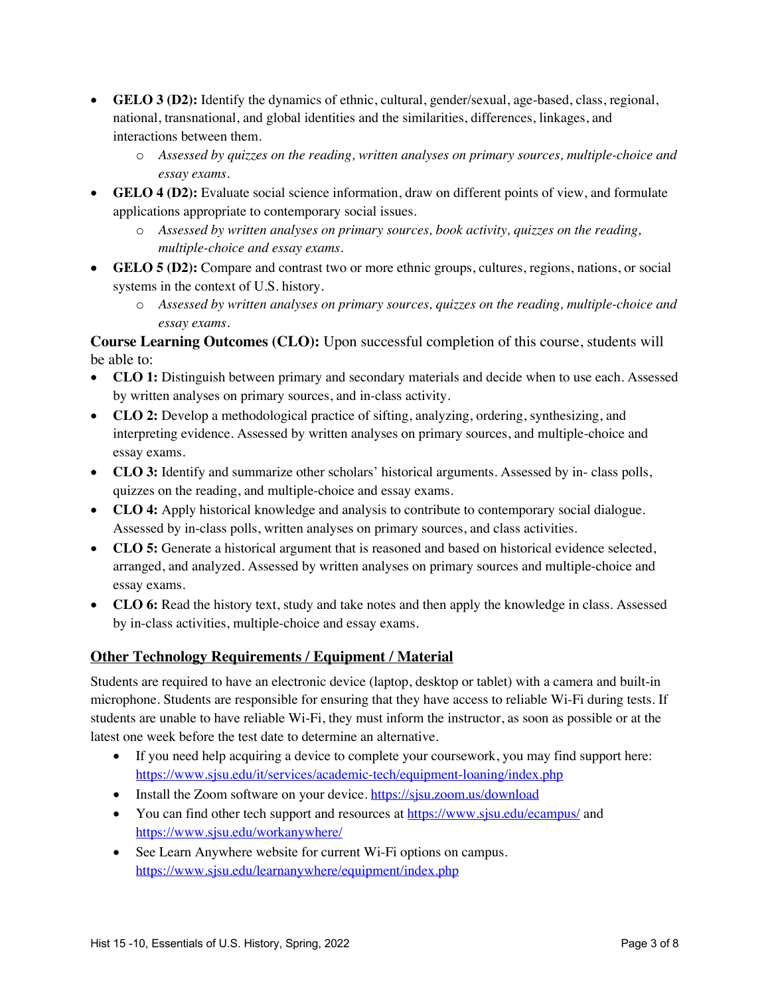- **GELO 3 (D2):** Identify the dynamics of ethnic, cultural, gender/sexual, age-based, class, regional, national, transnational, and global identities and the similarities, differences, linkages, and interactions between them.
	- o *Assessed by quizzes on the reading, written analyses on primary sources, multiple-choice and essay exams.*
- **GELO 4 (D2):** Evaluate social science information, draw on different points of view, and formulate applications appropriate to contemporary social issues.
	- o *Assessed by written analyses on primary sources, book activity, quizzes on the reading, multiple-choice and essay exams.*
- **GELO 5 (D2):** Compare and contrast two or more ethnic groups, cultures, regions, nations, or social systems in the context of U.S. history.
	- o *Assessed by written analyses on primary sources, quizzes on the reading, multiple-choice and essay exams.*

**Course Learning Outcomes (CLO):** Upon successful completion of this course, students will be able to:

- **CLO 1:** Distinguish between primary and secondary materials and decide when to use each. Assessed by written analyses on primary sources, and in-class activity.
- **CLO 2:** Develop a methodological practice of sifting, analyzing, ordering, synthesizing, and interpreting evidence. Assessed by written analyses on primary sources, and multiple-choice and essay exams.
- **CLO 3:** Identify and summarize other scholars' historical arguments. Assessed by in-class polls, quizzes on the reading, and multiple-choice and essay exams.
- **CLO 4:** Apply historical knowledge and analysis to contribute to contemporary social dialogue. Assessed by in-class polls, written analyses on primary sources, and class activities.
- **CLO 5:** Generate a historical argument that is reasoned and based on historical evidence selected, arranged, and analyzed. Assessed by written analyses on primary sources and multiple-choice and essay exams.
- **CLO 6:** Read the history text, study and take notes and then apply the knowledge in class. Assessed by in-class activities, multiple-choice and essay exams.

# **Other Technology Requirements / Equipment / Material**

Students are required to have an electronic device (laptop, desktop or tablet) with a camera and built-in microphone. Students are responsible for ensuring that they have access to reliable Wi-Fi during tests. If students are unable to have reliable Wi-Fi, they must inform the instructor, as soon as possible or at the latest one week before the test date to determine an alternative.

- If you need help acquiring a device to complete your coursework, you may find support here: https://www.sjsu.edu/it/services/academic-tech/equipment-loaning/index.php
- Install the Zoom software on your device. https://sjsu.zoom.us/download
- You can find other tech support and resources at https://www.sjsu.edu/ecampus/ and https://www.sjsu.edu/workanywhere/
- See Learn Anywhere website for current Wi-Fi options on campus. https://www.sjsu.edu/learnanywhere/equipment/index.php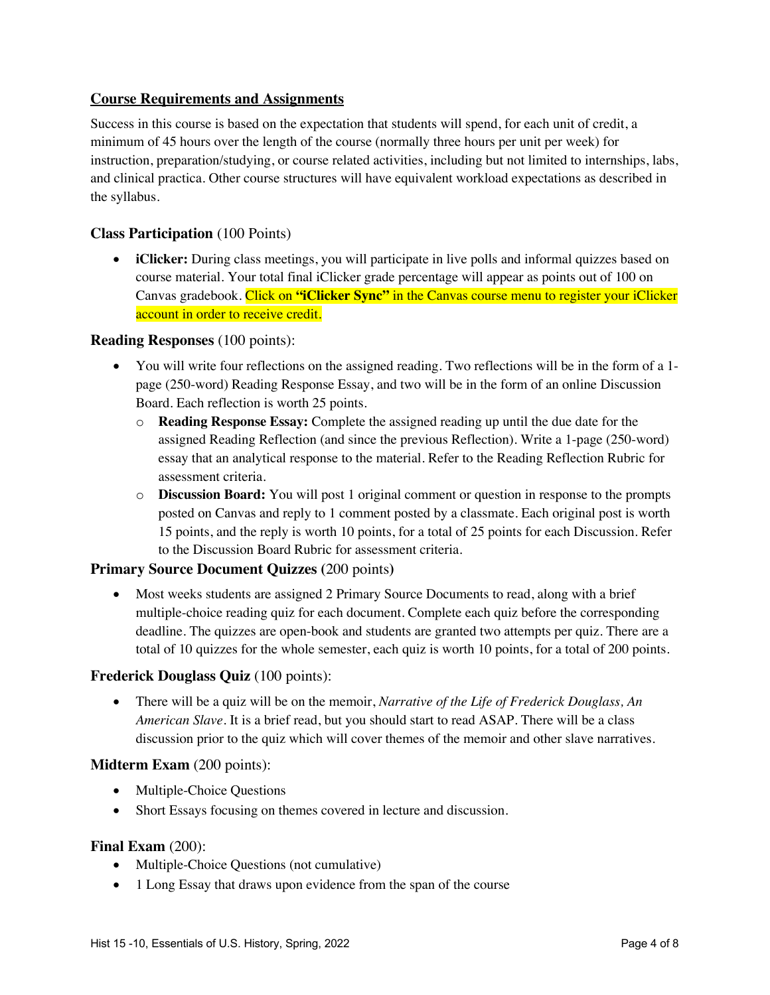## **Course Requirements and Assignments**

Success in this course is based on the expectation that students will spend, for each unit of credit, a minimum of 45 hours over the length of the course (normally three hours per unit per week) for instruction, preparation/studying, or course related activities, including but not limited to internships, labs, and clinical practica. Other course structures will have equivalent workload expectations as described in the syllabus.

## **Class Participation** (100 Points)

• **iClicker:** During class meetings, you will participate in live polls and informal quizzes based on course material. Your total final iClicker grade percentage will appear as points out of 100 on Canvas gradebook. Click on **"iClicker Sync"** in the Canvas course menu to register your iClicker account in order to receive credit.

#### **Reading Responses** (100 points):

- You will write four reflections on the assigned reading. Two reflections will be in the form of a 1 page (250-word) Reading Response Essay, and two will be in the form of an online Discussion Board. Each reflection is worth 25 points.
	- o **Reading Response Essay:** Complete the assigned reading up until the due date for the assigned Reading Reflection (and since the previous Reflection). Write a 1-page (250-word) essay that an analytical response to the material. Refer to the Reading Reflection Rubric for assessment criteria.
	- o **Discussion Board:** You will post 1 original comment or question in response to the prompts posted on Canvas and reply to 1 comment posted by a classmate. Each original post is worth 15 points, and the reply is worth 10 points, for a total of 25 points for each Discussion. Refer to the Discussion Board Rubric for assessment criteria.

## **Primary Source Document Quizzes (**200 points**)**

• Most weeks students are assigned 2 Primary Source Documents to read, along with a brief multiple-choice reading quiz for each document. Complete each quiz before the corresponding deadline. The quizzes are open-book and students are granted two attempts per quiz. There are a total of 10 quizzes for the whole semester, each quiz is worth 10 points, for a total of 200 points.

#### **Frederick Douglass Quiz** (100 points):

• There will be a quiz will be on the memoir, *Narrative of the Life of Frederick Douglass, An American Slave*. It is a brief read, but you should start to read ASAP. There will be a class discussion prior to the quiz which will cover themes of the memoir and other slave narratives.

#### **Midterm Exam** (200 points):

- Multiple-Choice Questions
- Short Essays focusing on themes covered in lecture and discussion.

#### **Final Exam (200):**

- Multiple-Choice Questions (not cumulative)
- 1 Long Essay that draws upon evidence from the span of the course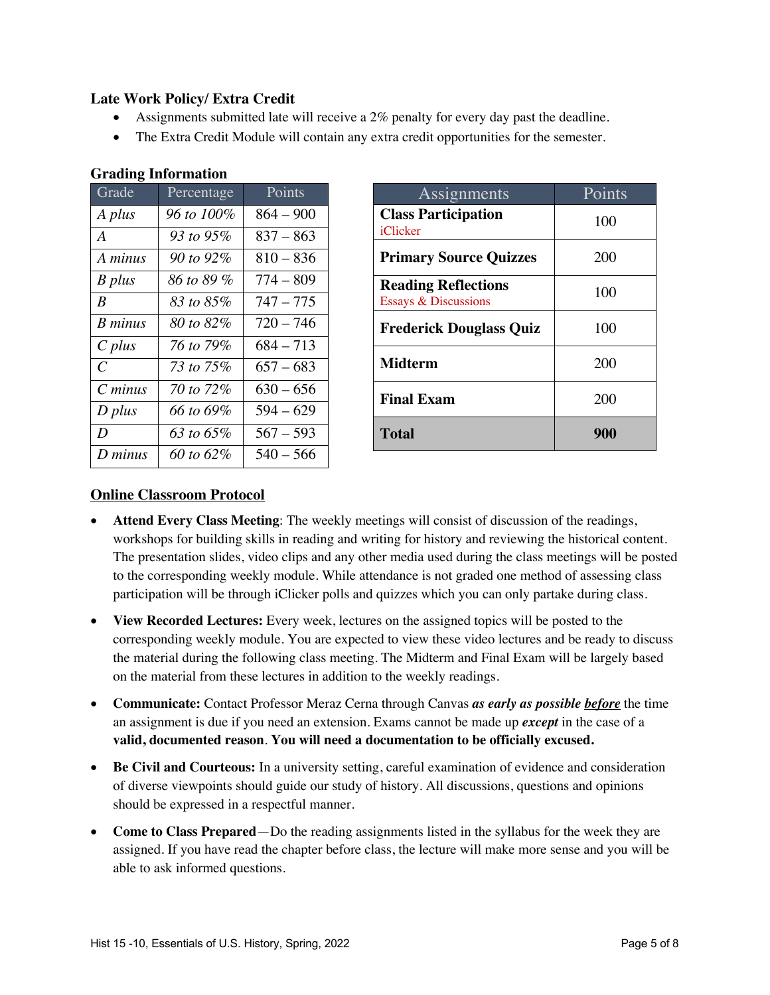# **Late Work Policy/ Extra Credit**

- Assignments submitted late will receive a 2% penalty for every day past the deadline.
- The Extra Credit Module will contain any extra credit opportunities for the semester.

| Grade          | Percentage | Points      |
|----------------|------------|-------------|
| A plus         | 96 to 100% | $864 - 900$ |
| A              | 93 to 95%  | $837 - 863$ |
| A minus        | 90 to 92%  | $810 - 836$ |
| B plus         | 86 to 89 % | $774 - 809$ |
| B              | 83 to 85%  | $747 - 775$ |
| <b>B</b> minus | 80 to 82%  | $720 - 746$ |
| $C$ plus       | 76 to 79%  | $684 - 713$ |
| C              | 73 to 75%  | $657 - 683$ |
| $C$ minus      | 70 to 72%  | $630 - 656$ |
| D plus         | 66 to 69%  | $594 - 629$ |
| D              | 63 to 65%  | $567 - 593$ |
| D minus        | 60 to 62%  | $540 - 566$ |

# **Grading Information**

| Assignments                                                   | Points |
|---------------------------------------------------------------|--------|
| <b>Class Participation</b><br>iClicker                        | 100    |
| <b>Primary Source Quizzes</b>                                 | 200    |
| <b>Reading Reflections</b><br><b>Essays &amp; Discussions</b> | 100    |
| <b>Frederick Douglass Quiz</b>                                | 100    |
| <b>Midterm</b>                                                | 200    |
| <b>Final Exam</b>                                             | 200    |
| <b>Total</b>                                                  | 900    |

# **Online Classroom Protocol**

- **Attend Every Class Meeting**: The weekly meetings will consist of discussion of the readings, workshops for building skills in reading and writing for history and reviewing the historical content. The presentation slides, video clips and any other media used during the class meetings will be posted to the corresponding weekly module. While attendance is not graded one method of assessing class participation will be through iClicker polls and quizzes which you can only partake during class.
- **View Recorded Lectures:** Every week, lectures on the assigned topics will be posted to the corresponding weekly module. You are expected to view these video lectures and be ready to discuss the material during the following class meeting. The Midterm and Final Exam will be largely based on the material from these lectures in addition to the weekly readings.
- **Communicate:** Contact Professor Meraz Cerna through Canvas *as early as possible before* the time an assignment is due if you need an extension. Exams cannot be made up *except* in the case of a **valid, documented reason**. **You will need a documentation to be officially excused.**
- **Be Civil and Courteous:** In a university setting, careful examination of evidence and consideration of diverse viewpoints should guide our study of history. All discussions, questions and opinions should be expressed in a respectful manner.
- **Come to Class Prepared**—Do the reading assignments listed in the syllabus for the week they are assigned. If you have read the chapter before class, the lecture will make more sense and you will be able to ask informed questions.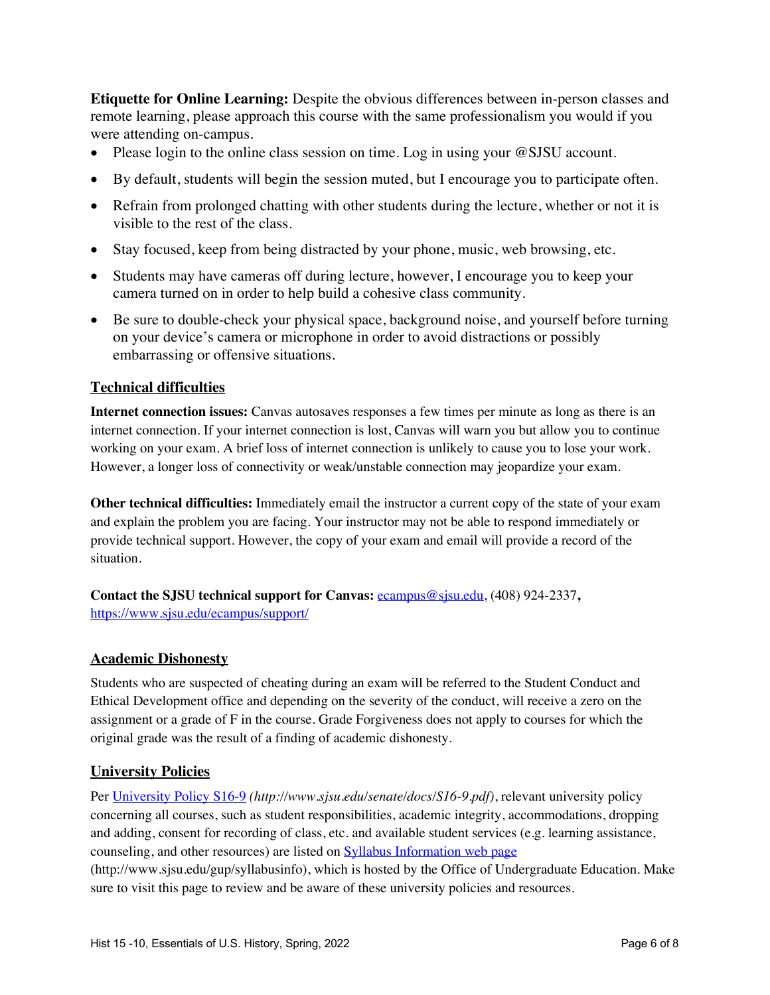**Etiquette for Online Learning:** Despite the obvious differences between in-person classes and remote learning, please approach this course with the same professionalism you would if you were attending on-campus.

- Please login to the online class session on time. Log in using your @SJSU account.
- By default, students will begin the session muted, but I encourage you to participate often.
- Refrain from prolonged chatting with other students during the lecture, whether or not it is visible to the rest of the class.
- Stay focused, keep from being distracted by your phone, music, web browsing, etc.
- Students may have cameras off during lecture, however, I encourage you to keep your camera turned on in order to help build a cohesive class community.
- Be sure to double-check your physical space, background noise, and yourself before turning on your device's camera or microphone in order to avoid distractions or possibly embarrassing or offensive situations.

# **Technical difficulties**

**Internet connection issues:** Canvas autosaves responses a few times per minute as long as there is an internet connection. If your internet connection is lost, Canvas will warn you but allow you to continue working on your exam. A brief loss of internet connection is unlikely to cause you to lose your work. However, a longer loss of connectivity or weak/unstable connection may jeopardize your exam.

**Other technical difficulties:** Immediately email the instructor a current copy of the state of your exam and explain the problem you are facing. Your instructor may not be able to respond immediately or provide technical support. However, the copy of your exam and email will provide a record of the situation.

**Contact the SJSU technical support for Canvas:** ecampus@sjsu.edu, (408) 924-2337**,**  https://www.sjsu.edu/ecampus/support/

# **Academic Dishonesty**

Students who are suspected of cheating during an exam will be referred to the Student Conduct and Ethical Development office and depending on the severity of the conduct, will receive a zero on the assignment or a grade of F in the course. Grade Forgiveness does not apply to courses for which the original grade was the result of a finding of academic dishonesty.

# **University Policies**

Per University Policy S16-9 *(http://www.sjsu.edu/senate/docs/S16-9.pdf)*, relevant university policy concerning all courses, such as student responsibilities, academic integrity, accommodations, dropping and adding, consent for recording of class, etc. and available student services (e.g. learning assistance, counseling, and other resources) are listed on Syllabus Information web page (http://www.sjsu.edu/gup/syllabusinfo), which is hosted by the Office of Undergraduate Education. Make sure to visit this page to review and be aware of these university policies and resources.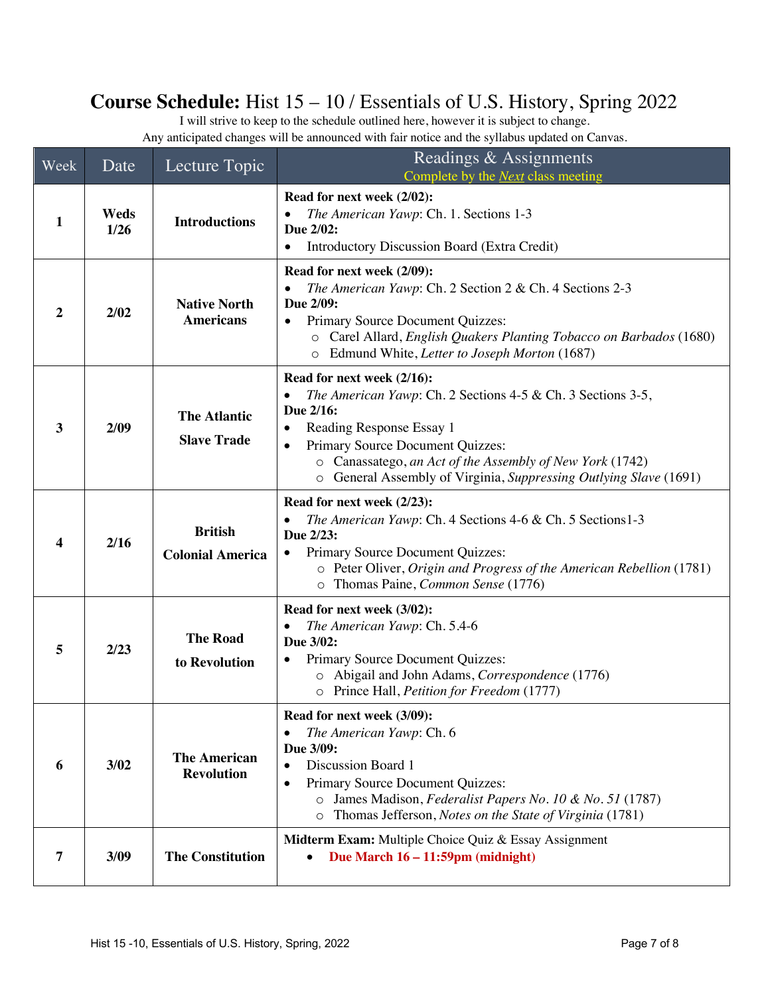# **Course Schedule:** Hist 15 – 10 / Essentials of U.S. History, Spring 2022

I will strive to keep to the schedule outlined here, however it is subject to change. Any anticipated changes will be announced with fair notice and the syllabus updated on Canvas.

| Week         | Date           | Lecture Topic                             | Readings & Assignments<br>Complete by the <b>Next</b> class meeting                                                                                                                                                                                                                                                           |  |
|--------------|----------------|-------------------------------------------|-------------------------------------------------------------------------------------------------------------------------------------------------------------------------------------------------------------------------------------------------------------------------------------------------------------------------------|--|
| 1            | Weds<br>$1/26$ | <b>Introductions</b>                      | Read for next week (2/02):<br>The American Yawp: Ch. 1. Sections 1-3<br>Due 2/02:<br>Introductory Discussion Board (Extra Credit)<br>$\bullet$                                                                                                                                                                                |  |
| 2            | 2/02           | <b>Native North</b><br><b>Americans</b>   | Read for next week (2/09):<br>The American Yawp: Ch. 2 Section 2 & Ch. 4 Sections 2-3<br>Due 2/09:<br>Primary Source Document Quizzes:<br>o Carel Allard, English Quakers Planting Tobacco on Barbados (1680)<br>Edmund White, Letter to Joseph Morton (1687)<br>$\circ$                                                      |  |
| $\mathbf{3}$ | 2/09           | <b>The Atlantic</b><br><b>Slave Trade</b> | Read for next week (2/16):<br>The American Yawp: Ch. 2 Sections 4-5 & Ch. 3 Sections 3-5,<br>Due 2/16:<br>Reading Response Essay 1<br>Primary Source Document Quizzes:<br>$\bullet$<br>o Canassatego, an Act of the Assembly of New York (1742)<br>General Assembly of Virginia, Suppressing Outlying Slave (1691)<br>$\circ$ |  |
| 4            | 2/16           | <b>British</b><br><b>Colonial America</b> | Read for next week (2/23):<br>The American Yawp: Ch. 4 Sections 4-6 & Ch. 5 Sections 1-3<br>Due 2/23:<br>Primary Source Document Quizzes:<br>$\bullet$<br>o Peter Oliver, Origin and Progress of the American Rebellion (1781)<br>o Thomas Paine, Common Sense (1776)                                                         |  |
| 5            | 2/23           | <b>The Road</b><br>to Revolution          | Read for next week (3/02):<br>The American Yawp: Ch. 5.4-6<br>Due 3/02:<br>Primary Source Document Quizzes:<br>o Abigail and John Adams, Correspondence (1776)<br>o Prince Hall, Petition for Freedom (1777)                                                                                                                  |  |
| 6            | 3/02           | <b>The American</b><br><b>Revolution</b>  | Read for next week (3/09):<br>The American Yawp: Ch. 6<br>Due 3/09:<br>Discussion Board 1<br>$\bullet$<br>Primary Source Document Quizzes:<br>$\bullet$<br>James Madison, Federalist Papers No. 10 & No. 51 (1787)<br>$\circ$<br>Thomas Jefferson, Notes on the State of Virginia (1781)<br>$\circ$                           |  |
| 7            | 3/09           | <b>The Constitution</b>                   | Midterm Exam: Multiple Choice Quiz & Essay Assignment<br>Due March 16 – 11:59pm (midnight)<br>٠                                                                                                                                                                                                                               |  |